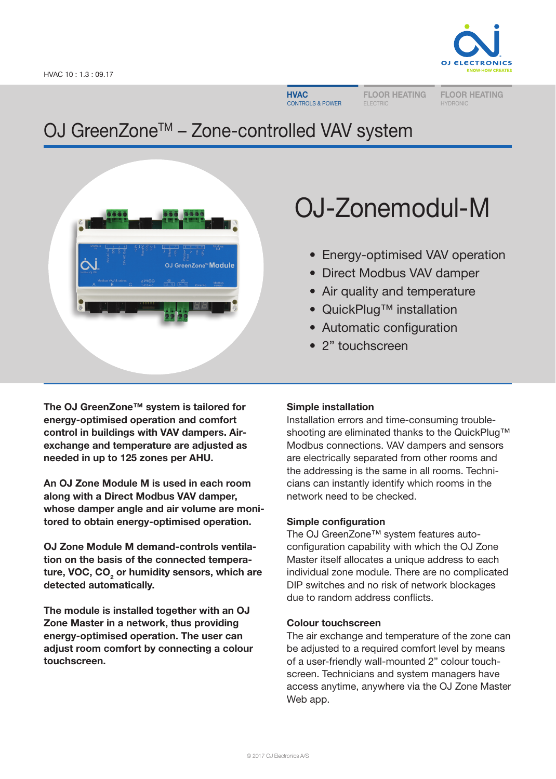

**HVAC** CONTROLS & POWER FLOOR HEATING

FLOOR HEATING HYDRONIL

# OJ GreenZone™ – Zone-controlled VAV system



# OJ-Zonemodul-M

- Energy-optimised VAV operation
- Direct Modbus VAV damper
- Air quality and temperature
- QuickPlug™ installation
- Automatic configuration
- 2" touchscreen

The OJ GreenZone™ system is tailored for energy-optimised operation and comfort control in buildings with VAV dampers. Airexchange and temperature are adjusted as needed in up to 125 zones per AHU.

An OJ Zone Module M is used in each room along with a Direct Modbus VAV damper, whose damper angle and air volume are monitored to obtain energy-optimised operation.

OJ Zone Module M demand-controls ventilation on the basis of the connected temperature, VOC, CO<sub>2</sub> or humidity sensors, which are detected automatically.

The module is installed together with an OJ Zone Master in a network, thus providing energy-optimised operation. The user can adjust room comfort by connecting a colour touchscreen.

# Simple installation

Installation errors and time-consuming troubleshooting are eliminated thanks to the QuickPlug™ Modbus connections. VAV dampers and sensors are electrically separated from other rooms and the addressing is the same in all rooms. Technicians can instantly identify which rooms in the network need to be checked.

# Simple configuration

The OJ GreenZone™ system features autoconfiguration capability with which the OJ Zone Master itself allocates a unique address to each individual zone module. There are no complicated DIP switches and no risk of network blockages due to random address conflicts.

# Colour touchscreen

The air exchange and temperature of the zone can be adjusted to a required comfort level by means of a user-friendly wall-mounted 2" colour touchscreen. Technicians and system managers have access anytime, anywhere via the OJ Zone Master Web app.